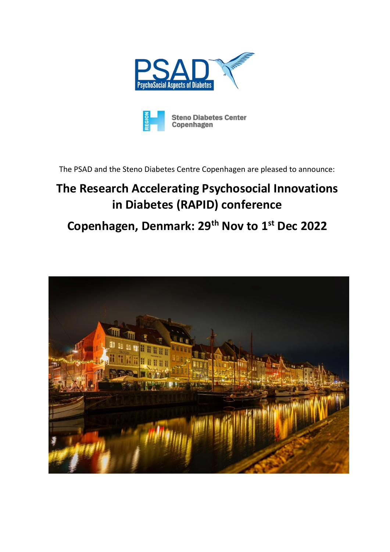



The PSAD and the Steno Diabetes Centre Copenhagen are pleased to announce:

# **The Research Accelerating Psychosocial Innovations in Diabetes (RAPID) conference**

# **Copenhagen, Denmark: 29th Nov to 1st Dec 2022**

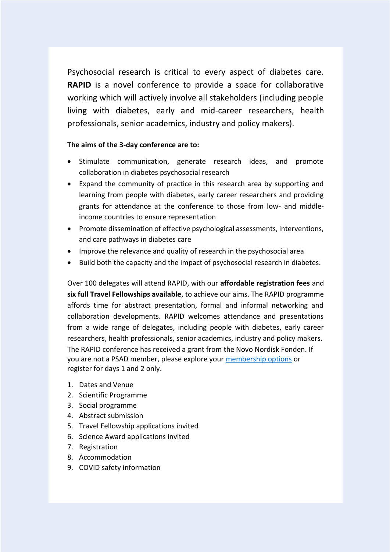Psychosocial research is critical to every aspect of diabetes care. **RAPID** is a novel conference to provide a space for collaborative working which will actively involve all stakeholders (including people living with diabetes, early and mid-career researchers, health professionals, senior academics, industry and policy makers).

### **The aims of the 3-day conference are to:**

- Stimulate communication, generate research ideas, and promote collaboration in diabetes psychosocial research
- Expand the community of practice in this research area by supporting and learning from people with diabetes, early career researchers and providing grants for attendance at the conference to those from low- and middleincome countries to ensure representation
- Promote dissemination of effective psychological assessments, interventions, and care pathways in diabetes care
- Improve the relevance and quality of research in the psychosocial area
- Build both the capacity and the impact of psychosocial research in diabetes.

Over 100 delegates will attend RAPID, with our **affordable registration fees** and **six full Travel Fellowships available**, to achieve our aims. The RAPID programme affords time for abstract presentation, formal and informal networking and collaboration developments. RAPID welcomes attendance and presentations from a wide range of delegates, including people with diabetes, early career researchers, health professionals, senior academics, industry and policy makers. The RAPID conference has received a grant from the Novo Nordisk Fonden. If you are not a PSAD member, please explore your [membership options](https://www.psadgroup.org/become-a-member/) or register for days 1 and 2 only.

- 1. Dates and Venue
- 2. Scientific Programme
- 3. Social programme
- 4. Abstract submission
- 5. Travel Fellowship applications invited
- 6. Science Award applications invited
- 7. Registration
- 8. Accommodation
- 9. COVID safety information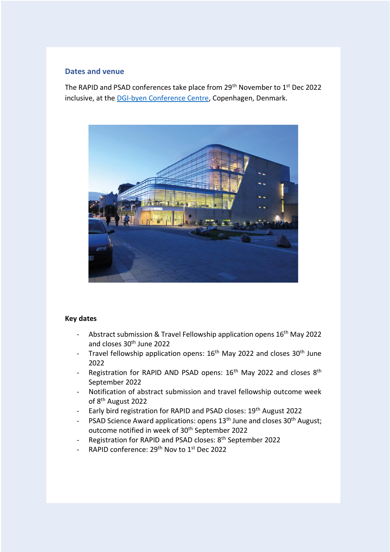#### **Dates and venue**

The RAPID and PSAD conferences take place from 29<sup>th</sup> November to 1<sup>st</sup> Dec 2022 inclusive, at the DGI-byen [Conference Centre,](https://www.dgibyen.dk/en/meetings-and-conferences/facilities-equipment/cph-conference/) Copenhagen, Denmark.



#### **Key dates**

- Abstract submission & Travel Fellowship application opens 16<sup>th</sup> May 2022 and closes 30th June 2022
- Travel fellowship application opens: 16<sup>th</sup> May 2022 and closes 30<sup>th</sup> June 2022
- Registration for RAPID AND PSAD opens:  $16<sup>th</sup>$  May 2022 and closes  $8<sup>th</sup>$ September 2022
- Notification of abstract submission and travel fellowship outcome week of 8th August 2022
- Early bird registration for RAPID and PSAD closes: 19<sup>th</sup> August 2022
- PSAD Science Award applications: opens 13<sup>th</sup> June and closes 30<sup>th</sup> August; outcome notified in week of 30<sup>th</sup> September 2022
- Registration for RAPID and PSAD closes: 8th September 2022
- RAPID conference: 29<sup>th</sup> Nov to 1<sup>st</sup> Dec 2022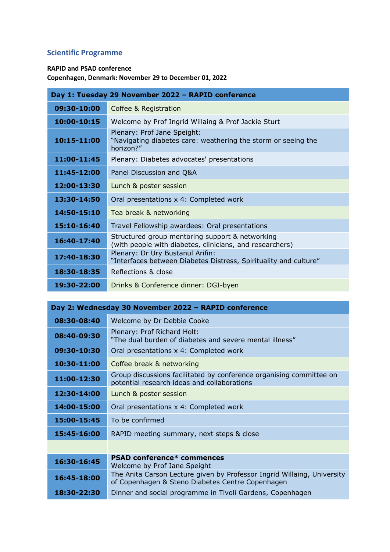# **Scientific Programme**

#### **RAPID and PSAD conference**

**Copenhagen, Denmark: November 29 to December 01, 2022**

| Day 1: Tuesday 29 November 2022 - RAPID conference |                                                                                                             |
|----------------------------------------------------|-------------------------------------------------------------------------------------------------------------|
| 09:30-10:00                                        | Coffee & Registration                                                                                       |
| 10:00-10:15                                        | Welcome by Prof Ingrid Willaing & Prof Jackie Sturt                                                         |
| 10:15-11:00                                        | Plenary: Prof Jane Speight:<br>"Navigating diabetes care: weathering the storm or seeing the<br>horizon?"   |
| 11:00-11:45                                        | Plenary: Diabetes advocates' presentations                                                                  |
| 11:45-12:00                                        | Panel Discussion and Q&A                                                                                    |
| 12:00-13:30                                        | Lunch & poster session                                                                                      |
| 13:30-14:50                                        | Oral presentations x 4: Completed work                                                                      |
| 14:50-15:10                                        | Tea break & networking                                                                                      |
| 15:10-16:40                                        | Travel Fellowship awardees: Oral presentations                                                              |
| 16:40-17:40                                        | Structured group mentoring support & networking<br>(with people with diabetes, clinicians, and researchers) |
| 17:40-18:30                                        | Plenary: Dr Ury Bustanul Arifin:<br>"Interfaces between Diabetes Distress, Spirituality and culture"        |
| 18:30-18:35                                        | Reflections & close                                                                                         |
| 19:30-22:00                                        | Drinks & Conference dinner: DGI-byen                                                                        |

| Day 2: Wednesday 30 November 2022 - RAPID conference |                                                                                                                             |  |
|------------------------------------------------------|-----------------------------------------------------------------------------------------------------------------------------|--|
| 08:30-08:40                                          | Welcome by Dr Debbie Cooke                                                                                                  |  |
| 08:40-09:30                                          | Plenary: Prof Richard Holt:<br>"The dual burden of diabetes and severe mental illness"                                      |  |
| 09:30-10:30                                          | Oral presentations x 4: Completed work                                                                                      |  |
| 10:30-11:00                                          | Coffee break & networking                                                                                                   |  |
| 11:00-12:30                                          | Group discussions facilitated by conference organising committee on<br>potential research ideas and collaborations          |  |
| 12:30-14:00                                          | Lunch & poster session                                                                                                      |  |
| 14:00-15:00                                          | Oral presentations x 4: Completed work                                                                                      |  |
| 15:00-15:45                                          | To be confirmed                                                                                                             |  |
| 15:45-16:00                                          | RAPID meeting summary, next steps & close                                                                                   |  |
|                                                      |                                                                                                                             |  |
| 16:30-16:45                                          | <b>PSAD conference* commences</b><br>Welcome by Prof Jane Speight                                                           |  |
| 16:45-18:00                                          | The Anita Carson Lecture given by Professor Ingrid Willaing, University<br>of Copenhagen & Steno Diabetes Centre Copenhagen |  |
| 18:30-22:30                                          | Dinner and social programme in Tivoli Gardens, Copenhagen                                                                   |  |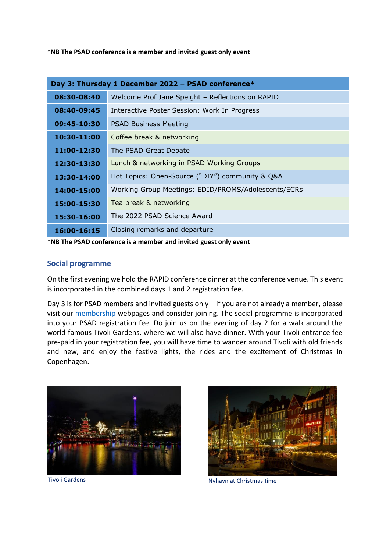**\*NB The PSAD conference is a member and invited guest only event** 

| Day 3: Thursday 1 December 2022 - PSAD conference* |                                                     |
|----------------------------------------------------|-----------------------------------------------------|
| 08:30-08:40                                        | Welcome Prof Jane Speight - Reflections on RAPID    |
| 08:40-09:45                                        | Interactive Poster Session: Work In Progress        |
| 09:45-10:30                                        | <b>PSAD Business Meeting</b>                        |
| 10:30-11:00                                        | Coffee break & networking                           |
| 11:00-12:30                                        | The PSAD Great Debate                               |
| 12:30-13:30                                        | Lunch & networking in PSAD Working Groups           |
| 13:30-14:00                                        | Hot Topics: Open-Source ("DIY") community & Q&A     |
| 14:00-15:00                                        | Working Group Meetings: EDID/PROMS/Adolescents/ECRs |
| 15:00-15:30                                        | Tea break & networking                              |
| 15:30-16:00                                        | The 2022 PSAD Science Award                         |
| 16:00-16:15                                        | Closing remarks and departure                       |

**\*NB The PSAD conference is a member and invited guest only event**

### **Social programme**

On the first evening we hold the RAPID conference dinner at the conference venue. This event is incorporated in the combined days 1 and 2 registration fee.

Day 3 is for PSAD members and invited guests only – if you are not already a member, please visit our [membership](https://www.psadgroup.org/membership/) webpages and consider joining. The social programme is incorporated into your PSAD registration fee. Do join us on the evening of day 2 for a walk around the world-famous Tivoli Gardens, where we will also have dinner. With your Tivoli entrance fee pre-paid in your registration fee, you will have time to wander around Tivoli with old friends and new, and enjoy the festive lights, the rides and the excitement of Christmas in Copenhagen.



Tivoli Gardens



Nyhavn at Christmas time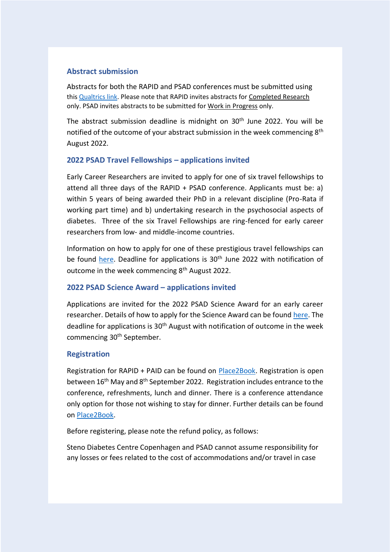# **Abstract submission**

Abstracts for both the RAPID and PSAD conferences must be submitted using this [Qualtrics link.](https://surreyfahs.eu.qualtrics.com/jfe/form/SV_eaMgDK2t123aTRk) Please note that RAPID invites abstracts for Completed Research only. PSAD invites abstracts to be submitted for Work in Progress only.

The abstract submission deadline is midnight on 30<sup>th</sup> June 2022. You will be notified of the outcome of your abstract submission in the week commencing 8<sup>th</sup> August 2022.

# **2022 PSAD Travel Fellowships – applications invited**

Early Career Researchers are invited to apply for one of six travel fellowships to attend all three days of the RAPID + PSAD conference. Applicants must be: a) within 5 years of being awarded their PhD in a relevant discipline (Pro-Rata if working part time) and b) undertaking research in the psychosocial aspects of diabetes. Three of the six Travel Fellowships are ring-fenced for early career researchers from low- and middle-income countries.

Information on how to apply for one of these prestigious travel fellowships can be found [here.](https://www.psadgroup.org/wp-content/uploads/2022/05/PSAD-Travel-Fellowship-2022.pdf) Deadline for applications is 30<sup>th</sup> June 2022 with notification of outcome in the week commencing 8<sup>th</sup> August 2022.

# **2022 PSAD Science Award – applications invited**

Applications are invited for the 2022 PSAD Science Award for an early career researcher. Details of how to apply for the Science Award can be found [here.](https://www.psadgroup.org/wp-content/uploads/2022/05/PSAD-Science-Award-2022-info.pdf) The deadline for applications is 30<sup>th</sup> August with notification of outcome in the week commencing 30<sup>th</sup> September.

# **Registration**

Registration for RAPID + PAID can be found on [Place2Book.](https://www.place2book.com/en/sw2/sales/i3wok1ofc0) Registration is open between 16<sup>th</sup> May and 8<sup>th</sup> September 2022. Registration includes entrance to the conference, refreshments, lunch and dinner. There is a conference attendance only option for those not wishing to stay for dinner. Further details can be found on [Place2Book.](https://www.place2book.com/en/sw2/sales/i3wok1ofc0)

Before registering, please note the refund policy, as follows:

Steno Diabetes Centre Copenhagen and PSAD cannot assume responsibility for any losses or fees related to the cost of accommodations and/or travel in case